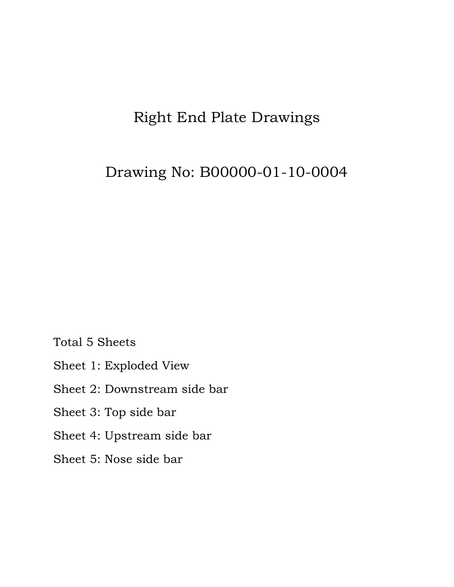## Right End Plate Drawings

## Drawing No: B00000-01-10-0004

Total 5 Sheets

- Sheet 1: Exploded View
- Sheet 2: Downstream side bar
- Sheet 3: Top side bar
- Sheet 4: Upstream side bar
- Sheet 5: Nose side bar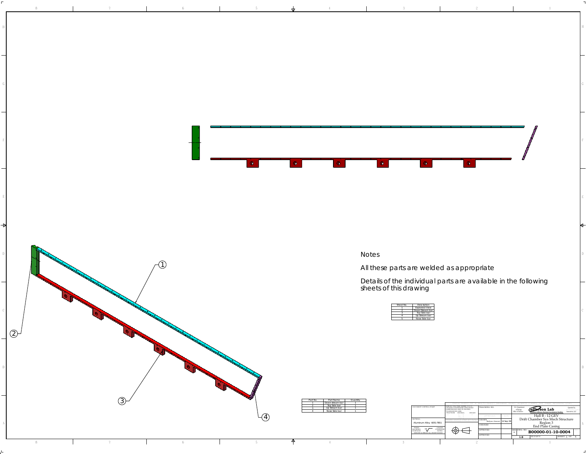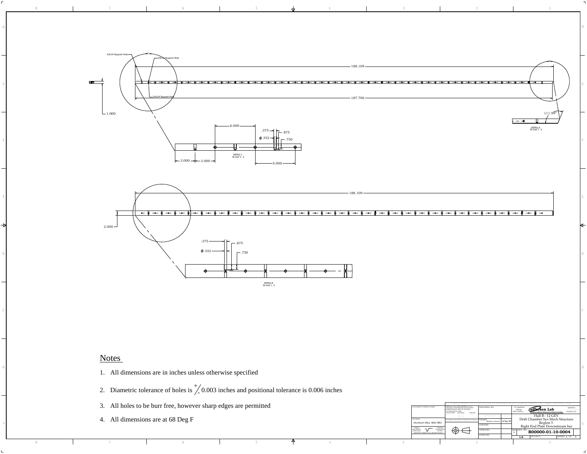

8 1 7 1 6 1 5 4 1 3 1 2 1 2

4321

## Notes

F

⇥

876

- 1. All dimensions are in inches unless otherwise specified
- 2. Diametric tolerance of holes is  $\frac{1}{2}$  0.003 inches and positional tolerance is 0.006 inches
- 3. All holes to be burr free, however sharp edges are permitted
- 4. All dimensions are at 68 Deg F

| All holes to be burr free, however sharp edges are permitted | DOCUMENT CONTROL STAMP | DIM & TOL PER ASME?<br>UNLESS OTHERWISE SPECIFIED<br>DIMENSIONS ARE IN INCHES<br>TOLERANCES ARE:<br>FRACTIONS DECIMAL ANGLES | <b>TRACKING NO.</b>                                                       | Jefferson Lab<br>Associates, LL<br>Office of Scien                                    |
|--------------------------------------------------------------|------------------------|------------------------------------------------------------------------------------------------------------------------------|---------------------------------------------------------------------------|---------------------------------------------------------------------------------------|
| All dimensions are at 68 Deg F                               | Aluminum Alloy 6051-T  | $X - 4$<br>⊕€                                                                                                                | APPROVALS<br>DRAWN<br>Kalyan Jinnuri 14 Sep<br>CHECKED<br><b>LPPROVEI</b> | Hall B - 12 GEV<br>Drift Chamber Sys Mech Structure<br>Right End Plate Downstream bar |
|                                                              |                        |                                                                                                                              | APPROVED                                                                  | B00000-01-10-0004<br>SHEET 2 OF 5                                                     |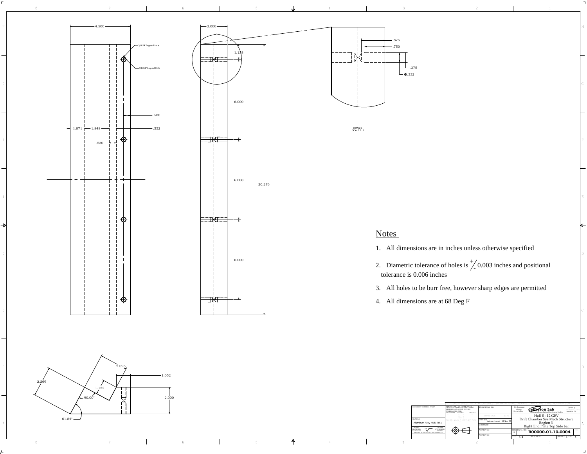

F



876





DETAIL G SCALE 2 : 1

## Notes

4321

1. All dimensions are in inches unless otherwise specified

- 2. Diametric tolerance of holes is  $\frac{1}{2}$  0.003 inches and positional tolerance is 0.006 inches
- 3. All holes to be burr free, however sharp edges are permitted
- 4. All dimensions are at 68 Deg F

|                 | DIM & TOL PER ASME Y14.5.<br>UNLESS OTHERWISE SPECIFIED<br>DOCUMENT CONTROL STAMP<br><b>TRACKING N</b><br>DIMENSIONS ARE IN INCHES<br>TOLERANCES ARE:<br>FRACTIONS DECIMAL<br><b>ANGLES</b> | Jefferson Lab<br>Office of Science<br>Associates.                                             |
|-----------------|---------------------------------------------------------------------------------------------------------------------------------------------------------------------------------------------|-----------------------------------------------------------------------------------------------|
| $61.84^\circ$ — | $X = \pm$<br>APPROVALS<br>$-300 - 2$<br><b>DRAWN</b><br>HIRD ANGLE PROJECTIO<br>Aluminum Alloy 6051-T651<br>CHECKED                                                                         | Hall B - 12 GEV<br>Drift Chamber Sys Mech Structure<br>Kegion<br>Right End Plate Top Side bar |
|                 | ⊕€<br><b>LCUINEE</b><br><b>BEERW</b><br><b>APPROVED</b><br>DERURR A REEAK ALL SHARP EDGES<br>APPROVED                                                                                       | SIZE DWG<br>$\degree$ B00000-01-10-0004<br>HEET 3 OF                                          |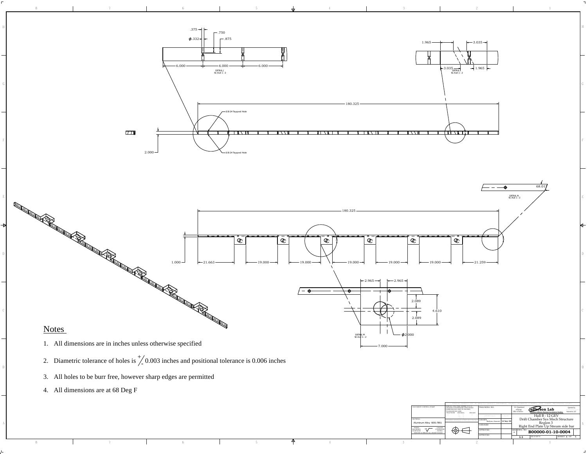